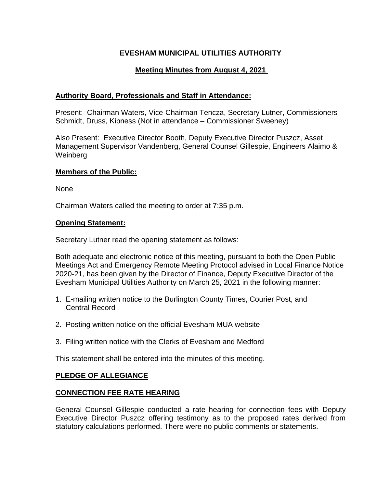# **EVESHAM MUNICIPAL UTILITIES AUTHORITY**

# **Meeting Minutes from August 4, 2021**

## **Authority Board, Professionals and Staff in Attendance:**

Present: Chairman Waters, Vice-Chairman Tencza, Secretary Lutner, Commissioners Schmidt, Druss, Kipness (Not in attendance – Commissioner Sweeney)

Also Present: Executive Director Booth, Deputy Executive Director Puszcz, Asset Management Supervisor Vandenberg, General Counsel Gillespie, Engineers Alaimo & Weinberg

## **Members of the Public:**

None

Chairman Waters called the meeting to order at 7:35 p.m.

## **Opening Statement:**

Secretary Lutner read the opening statement as follows:

Both adequate and electronic notice of this meeting, pursuant to both the Open Public Meetings Act and Emergency Remote Meeting Protocol advised in Local Finance Notice 2020-21, has been given by the Director of Finance, Deputy Executive Director of the Evesham Municipal Utilities Authority on March 25, 2021 in the following manner:

- 1. E-mailing written notice to the Burlington County Times, Courier Post, and Central Record
- 2. Posting written notice on the official Evesham MUA website
- 3. Filing written notice with the Clerks of Evesham and Medford

This statement shall be entered into the minutes of this meeting.

## **PLEDGE OF ALLEGIANCE**

## **CONNECTION FEE RATE HEARING**

General Counsel Gillespie conducted a rate hearing for connection fees with Deputy Executive Director Puszcz offering testimony as to the proposed rates derived from statutory calculations performed. There were no public comments or statements.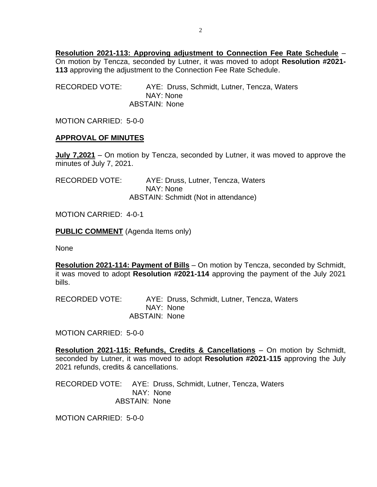**Resolution 2021-113: Approving adjustment to Connection Fee Rate Schedule** – On motion by Tencza, seconded by Lutner, it was moved to adopt **Resolution #2021- 113** approving the adjustment to the Connection Fee Rate Schedule.

RECORDED VOTE: AYE: Druss, Schmidt, Lutner, Tencza, Waters NAY: None ABSTAIN: None

MOTION CARRIED: 5-0-0

#### **APPROVAL OF MINUTES**

**July 7,2021** – On motion by Tencza, seconded by Lutner, it was moved to approve the minutes of July 7, 2021.

RECORDED VOTE: AYE: Druss, Lutner, Tencza, Waters NAY: None ABSTAIN: Schmidt (Not in attendance)

MOTION CARRIED: 4-0-1

**PUBLIC COMMENT** (Agenda Items only)

None

**Resolution 2021-114: Payment of Bills** – On motion by Tencza, seconded by Schmidt, it was moved to adopt **Resolution #2021-114** approving the payment of the July 2021 bills.

RECORDED VOTE: AYE: Druss, Schmidt, Lutner, Tencza, Waters NAY: None ABSTAIN: None

MOTION CARRIED: 5-0-0

**Resolution 2021-115: Refunds, Credits & Cancellations** – On motion by Schmidt, seconded by Lutner, it was moved to adopt **Resolution #2021-115** approving the July 2021 refunds, credits & cancellations.

RECORDED VOTE: AYE: Druss, Schmidt, Lutner, Tencza, Waters NAY: None ABSTAIN: None

MOTION CARRIED: 5-0-0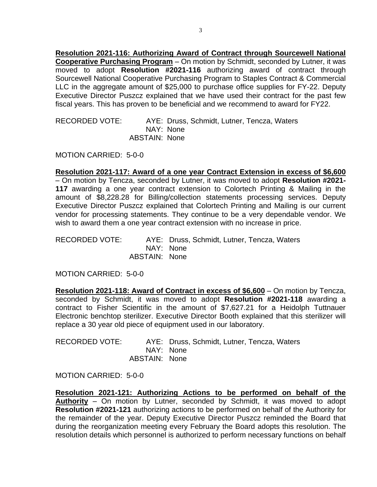**Resolution 2021-116: Authorizing Award of Contract through Sourcewell National Cooperative Purchasing Program** – On motion by Schmidt, seconded by Lutner, it was moved to adopt **Resolution #2021-116** authorizing award of contract through Sourcewell National Cooperative Purchasing Program to Staples Contract & Commercial LLC in the aggregate amount of \$25,000 to purchase office supplies for FY-22. Deputy Executive Director Puszcz explained that we have used their contract for the past few fiscal years. This has proven to be beneficial and we recommend to award for FY22.

RECORDED VOTE: AYE: Druss, Schmidt, Lutner, Tencza, Waters NAY: None ABSTAIN: None

MOTION CARRIED: 5-0-0

**Resolution 2021-117: Award of a one year Contract Extension in excess of \$6,600** – On motion by Tencza, seconded by Lutner, it was moved to adopt **Resolution #2021- 117** awarding a one year contract extension to Colortech Printing & Mailing in the amount of \$8,228.28 for Billing/collection statements processing services. Deputy Executive Director Puszcz explained that Colortech Printing and Mailing is our current vendor for processing statements. They continue to be a very dependable vendor. We wish to award them a one year contract extension with no increase in price.

RECORDED VOTE: AYE: Druss, Schmidt, Lutner, Tencza, Waters NAY: None ABSTAIN: None

MOTION CARRIED: 5-0-0

**Resolution 2021-118: Award of Contract in excess of \$6,600** – On motion by Tencza, seconded by Schmidt, it was moved to adopt **Resolution #2021-118** awarding a contract to Fisher Scientific in the amount of \$7,627.21 for a Heidolph Tuttnauer Electronic benchtop sterilizer. Executive Director Booth explained that this sterilizer will replace a 30 year old piece of equipment used in our laboratory.

RECORDED VOTE: AYE: Druss, Schmidt, Lutner, Tencza, Waters NAY: None ABSTAIN: None

MOTION CARRIED: 5-0-0

**Resolution 2021-121: Authorizing Actions to be performed on behalf of the Authority** – On motion by Lutner, seconded by Schmidt, it was moved to adopt **Resolution #2021-121** authorizing actions to be performed on behalf of the Authority for the remainder of the year. Deputy Executive Director Puszcz reminded the Board that during the reorganization meeting every February the Board adopts this resolution. The resolution details which personnel is authorized to perform necessary functions on behalf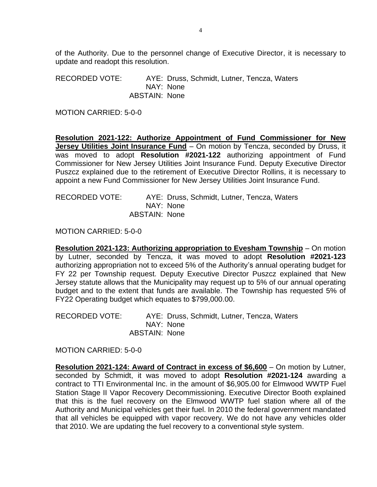of the Authority. Due to the personnel change of Executive Director, it is necessary to update and readopt this resolution.

RECORDED VOTE: AYE: Druss, Schmidt, Lutner, Tencza, Waters NAY: None ABSTAIN: None

MOTION CARRIED: 5-0-0

**Resolution 2021-122: Authorize Appointment of Fund Commissioner for New Jersey Utilities Joint Insurance Fund** – On motion by Tencza, seconded by Druss, it was moved to adopt **Resolution #2021-122** authorizing appointment of Fund Commissioner for New Jersey Utilities Joint Insurance Fund. Deputy Executive Director Puszcz explained due to the retirement of Executive Director Rollins, it is necessary to appoint a new Fund Commissioner for New Jersey Utilities Joint Insurance Fund.

RECORDED VOTE: AYE: Druss, Schmidt, Lutner, Tencza, Waters NAY: None ABSTAIN: None

MOTION CARRIED: 5-0-0

**Resolution 2021-123: Authorizing appropriation to Evesham Township** – On motion by Lutner, seconded by Tencza, it was moved to adopt **Resolution #2021-123** authorizing appropriation not to exceed 5% of the Authority's annual operating budget for FY 22 per Township request. Deputy Executive Director Puszcz explained that New Jersey statute allows that the Municipality may request up to 5% of our annual operating budget and to the extent that funds are available. The Township has requested 5% of FY22 Operating budget which equates to \$799,000.00.

RECORDED VOTE: AYE: Druss, Schmidt, Lutner, Tencza, Waters NAY: None ABSTAIN: None

MOTION CARRIED: 5-0-0

**Resolution 2021-124: Award of Contract in excess of \$6,600** – On motion by Lutner, seconded by Schmidt, it was moved to adopt **Resolution #2021-124** awarding a contract to TTI Environmental Inc. in the amount of \$6,905.00 for Elmwood WWTP Fuel Station Stage II Vapor Recovery Decommissioning. Executive Director Booth explained that this is the fuel recovery on the Elmwood WWTP fuel station where all of the Authority and Municipal vehicles get their fuel. In 2010 the federal government mandated that all vehicles be equipped with vapor recovery. We do not have any vehicles older that 2010. We are updating the fuel recovery to a conventional style system.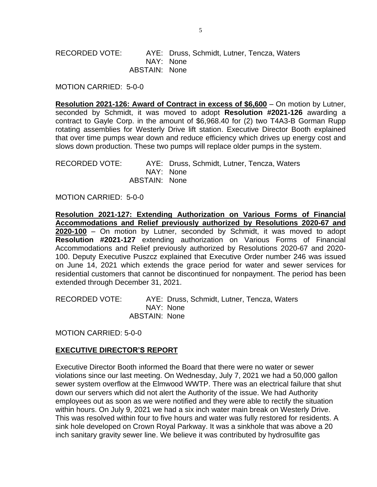RECORDED VOTE: AYE: Druss, Schmidt, Lutner, Tencza, Waters NAY: None ABSTAIN: None

MOTION CARRIED: 5-0-0

**Resolution 2021-126: Award of Contract in excess of \$6,600** – On motion by Lutner, seconded by Schmidt, it was moved to adopt **Resolution #2021-126** awarding a contract to Gayle Corp. in the amount of \$6,968.40 for (2) two T4A3-B Gorman Rupp rotating assemblies for Westerly Drive lift station. Executive Director Booth explained that over time pumps wear down and reduce efficiency which drives up energy cost and slows down production. These two pumps will replace older pumps in the system.

RECORDED VOTE: AYE: Druss, Schmidt, Lutner, Tencza, Waters NAY: None ABSTAIN: None

MOTION CARRIED: 5-0-0

**Resolution 2021-127: Extending Authorization on Various Forms of Financial Accommodations and Relief previously authorized by Resolutions 2020-67 and 2020-100** – On motion by Lutner, seconded by Schmidt, it was moved to adopt **Resolution #2021-127** extending authorization on Various Forms of Financial Accommodations and Relief previously authorized by Resolutions 2020-67 and 2020- 100. Deputy Executive Puszcz explained that Executive Order number 246 was issued on June 14, 2021 which extends the grace period for water and sewer services for residential customers that cannot be discontinued for nonpayment. The period has been extended through December 31, 2021.

RECORDED VOTE: AYE: Druss, Schmidt, Lutner, Tencza, Waters NAY: None ABSTAIN: None

MOTION CARRIED: 5-0-0

#### **EXECUTIVE DIRECTOR'S REPORT**

Executive Director Booth informed the Board that there were no water or sewer violations since our last meeting. On Wednesday, July 7, 2021 we had a 50,000 gallon sewer system overflow at the Elmwood WWTP. There was an electrical failure that shut down our servers which did not alert the Authority of the issue. We had Authority employees out as soon as we were notified and they were able to rectify the situation within hours. On July 9, 2021 we had a six inch water main break on Westerly Drive. This was resolved within four to five hours and water was fully restored for residents. A sink hole developed on Crown Royal Parkway. It was a sinkhole that was above a 20 inch sanitary gravity sewer line. We believe it was contributed by hydrosulfite gas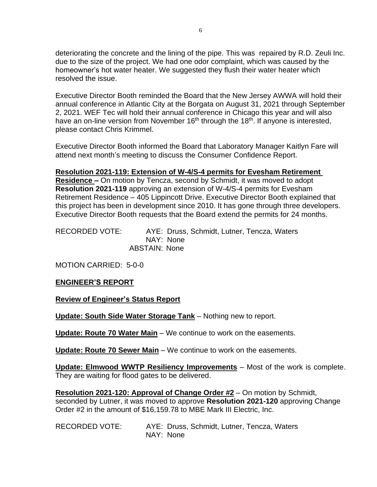deteriorating the concrete and the lining of the pipe. This was repaired by R.D. Zeuli Inc. due to the size of the project. We had one odor complaint, which was caused by the homeowner's hot water heater. We suggested they flush their water heater which resolved the issue.

Executive Director Booth reminded the Board that the New Jersey AWWA will hold their annual conference in Atlantic City at the Borgata on August 31, 2021 through September 2, 2021. WEF Tec will hold their annual conference in Chicago this year and will also have an on-line version from November 16<sup>th</sup> through the 18<sup>th</sup>. If anyone is interested, please contact Chris Krimmel.

Executive Director Booth informed the Board that Laboratory Manager Kaitlyn Fare will attend next month's meeting to discuss the Consumer Confidence Report.

## **Resolution 2021-119: Extension of W-4/S-4 permits for Evesham Retirement**

**Residence –** On motion by Tencza, second by Schmidt, it was moved to adopt **Resolution 2021-119** approving an extension of W-4/S-4 permits for Evesham Retirement Residence – 405 Lippincott Drive. Executive Director Booth explained that this project has been in development since 2010. It has gone through three developers. Executive Director Booth requests that the Board extend the permits for 24 months.

RECORDED VOTE: AYE: Druss, Schmidt, Lutner, Tencza, Waters NAY: None ABSTAIN: None

MOTION CARRIED: 5-0-0

## **ENGINEER'S REPORT**

**Review of Engineer's Status Report**

**Update: South Side Water Storage Tank** – Nothing new to report.

**Update: Route 70 Water Main** – We continue to work on the easements.

**Update: Route 70 Sewer Main** – We continue to work on the easements.

**Update: Elmwood WWTP Resiliency Improvements** – Most of the work is complete. They are waiting for flood gates to be delivered.

**Resolution 2021-120: Approval of Change Order #2** – On motion by Schmidt, seconded by Lutner, it was moved to approve **Resolution 2021-120** approving Change Order #2 in the amount of \$16,159.78 to MBE Mark III Electric, Inc.

RECORDED VOTE: AYE: Druss, Schmidt, Lutner, Tencza, Waters NAY: None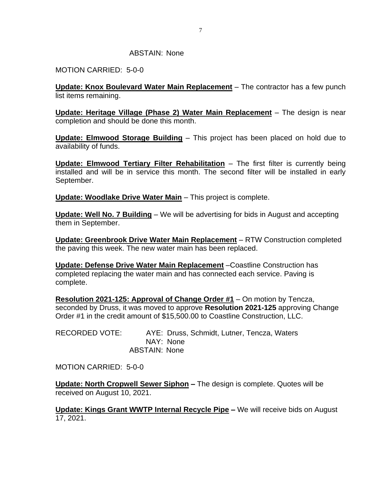#### ABSTAIN: None

MOTION CARRIED: 5-0-0

**Update: Knox Boulevard Water Main Replacement** – The contractor has a few punch list items remaining.

**Update: Heritage Village (Phase 2) Water Main Replacement** – The design is near completion and should be done this month.

**Update: Elmwood Storage Building** – This project has been placed on hold due to availability of funds.

**Update: Elmwood Tertiary Filter Rehabilitation** – The first filter is currently being installed and will be in service this month. The second filter will be installed in early September.

**Update: Woodlake Drive Water Main** – This project is complete.

**Update: Well No. 7 Building** – We will be advertising for bids in August and accepting them in September.

**Update: Greenbrook Drive Water Main Replacement** – RTW Construction completed the paving this week. The new water main has been replaced.

**Update: Defense Drive Water Main Replacement** –Coastline Construction has completed replacing the water main and has connected each service. Paving is complete.

**Resolution 2021-125: Approval of Change Order #1** – On motion by Tencza, seconded by Druss, it was moved to approve **Resolution 2021-125** approving Change Order #1 in the credit amount of \$15,500.00 to Coastline Construction, LLC.

RECORDED VOTE: AYE: Druss, Schmidt, Lutner, Tencza, Waters NAY: None ABSTAIN: None

MOTION CARRIED: 5-0-0

**Update: North Cropwell Sewer Siphon –** The design is complete. Quotes will be received on August 10, 2021.

**Update: Kings Grant WWTP Internal Recycle Pipe –** We will receive bids on August 17, 2021.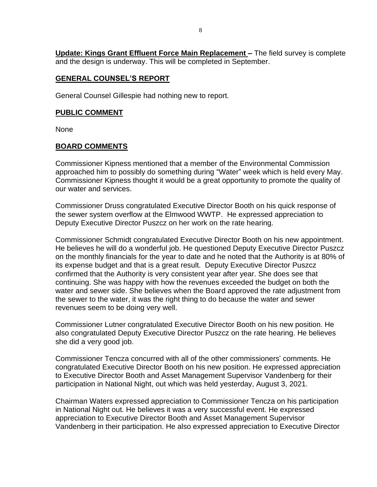**Update: Kings Grant Effluent Force Main Replacement –** The field survey is complete and the design is underway. This will be completed in September.

## **GENERAL COUNSEL'S REPORT**

General Counsel Gillespie had nothing new to report.

#### **PUBLIC COMMENT**

None

## **BOARD COMMENTS**

Commissioner Kipness mentioned that a member of the Environmental Commission approached him to possibly do something during "Water" week which is held every May. Commissioner Kipness thought it would be a great opportunity to promote the quality of our water and services.

Commissioner Druss congratulated Executive Director Booth on his quick response of the sewer system overflow at the Elmwood WWTP. He expressed appreciation to Deputy Executive Director Puszcz on her work on the rate hearing.

Commissioner Schmidt congratulated Executive Director Booth on his new appointment. He believes he will do a wonderful job. He questioned Deputy Executive Director Puszcz on the monthly financials for the year to date and he noted that the Authority is at 80% of its expense budget and that is a great result. Deputy Executive Director Puszcz confirmed that the Authority is very consistent year after year. She does see that continuing. She was happy with how the revenues exceeded the budget on both the water and sewer side. She believes when the Board approved the rate adjustment from the sewer to the water, it was the right thing to do because the water and sewer revenues seem to be doing very well.

Commissioner Lutner congratulated Executive Director Booth on his new position. He also congratulated Deputy Executive Director Puszcz on the rate hearing. He believes she did a very good job.

Commissioner Tencza concurred with all of the other commissioners' comments. He congratulated Executive Director Booth on his new position. He expressed appreciation to Executive Director Booth and Asset Management Supervisor Vandenberg for their participation in National Night, out which was held yesterday, August 3, 2021.

Chairman Waters expressed appreciation to Commissioner Tencza on his participation in National Night out. He believes it was a very successful event. He expressed appreciation to Executive Director Booth and Asset Management Supervisor Vandenberg in their participation. He also expressed appreciation to Executive Director